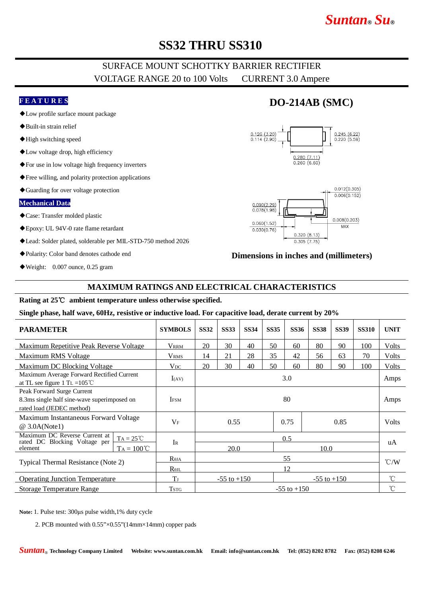# *Suntan***®** *Su***®**

## **SS32 THRU SS310**

### SURFACE MOUNT SCHOTTKY BARRIER RECTIFIER VOLTAGE RANGE 20 to 100 Volts CURRENT 3.0 Ampere

### **F E A T U R E S**

- ◆Low profile surface mount package
- ◆Built-in strain relief
- ◆High switching speed
- ◆Low voltage drop, high efficiency
- ◆For use in low voltage high frequency inverters
- ◆Free willing, and polarity protection applications
- ◆Guarding for over voltage protection

#### **Mechanical Data**

- ◆Case: Transfer molded plastic
- ◆Epoxy: UL 94V-0 rate flame retardant
- ◆Lead: Solder plated, solderable per MIL-STD-750 method 2026
- ◆Polarity: Color band denotes cathode end
- ◆Weight: 0.007 ounce, 0.25 gram

## **DO-214AB (SMC)**





#### **Dimensions in inches and (millimeters)**

### **MAXIMUM RATINGS AND ELECTRICAL CHARACTERISTICS**

#### **Rating at 25**℃ **ambient temperature unless otherwise specified.**

#### **Single phase, half wave, 60Hz, resistive or inductive load. For capacitive load, derate current by 20%**

| <b>PARAMETER</b>                                                                                        |                     | <b>SYMBOLS</b>          | <b>SS32</b>                        | <b>SS33</b> | <b>SS34</b> | <b>SS35</b> | <b>SS36</b> | <b>SS38</b>  | <b>SS39</b>  | <b>SS310</b> | <b>UNIT</b>     |
|---------------------------------------------------------------------------------------------------------|---------------------|-------------------------|------------------------------------|-------------|-------------|-------------|-------------|--------------|--------------|--------------|-----------------|
| Maximum Repetitive Peak Reverse Voltage                                                                 |                     | <b>VRRM</b>             | 20                                 | 30          | 40          | 50          | 60          | 80           | 90           | 100          | <b>Volts</b>    |
| Maximum RMS Voltage                                                                                     |                     | <b>V</b> <sub>RMS</sub> | 14                                 | 21          | 28          | 35          | 42          | 56           | 63           | 70           | <b>Volts</b>    |
| Maximum DC Blocking Voltage                                                                             |                     | $V_{DC}$                | 20                                 | 30          | 40          | 50          | 60          | 80           | 90           | 100          | <b>Volts</b>    |
| Maximum Average Forward Rectified Current<br>at TL see figure 1 TL = $105^{\circ}$ C                    |                     | I(AV)                   | 3.0                                |             |             |             |             |              |              |              | Amps            |
| Peak Forward Surge Current<br>8.3 ms single half sine-wave superimposed on<br>rated load (JEDEC method) |                     | <b>IFSM</b>             | 80                                 |             |             |             |             |              |              |              | Amps            |
| Maximum Instantaneous Forward Voltage<br>@ 3.0A(Note1)                                                  |                     | $V_F$                   | 0.75<br>0.55<br>0.85               |             |             |             |             |              | <b>Volts</b> |              |                 |
| Maximum DC Reverse Current at                                                                           | $TA = 25^{\circ}C$  |                         | 0.5                                |             |             |             |             |              |              |              |                 |
| rated DC Blocking Voltage per<br>element                                                                | $Ta = 100^{\circ}C$ | IR                      | 20.0                               |             |             |             | 10.0        |              |              |              | uA              |
| Typical Thermal Resistance (Note 2)                                                                     |                     | $R_{\theta JA}$         | 55                                 |             |             |             |             |              |              |              | $\mathcal{C}/W$ |
|                                                                                                         |                     | $R_{\theta JL}$         | 12                                 |             |             |             |             |              |              |              |                 |
| <b>Operating Junction Temperature</b>                                                                   |                     | T <sub>J</sub>          | $-55$ to $+150$<br>$-55$ to $+150$ |             |             |             |             | $^{\circ}$ C |              |              |                 |
| <b>Storage Temperature Range</b>                                                                        |                     | <b>TSTG</b>             | $-55$ to $+150$                    |             |             |             |             |              |              |              | $^{\circ}$ C    |

**Note:** 1. Pulse test: 300μs pulse width,1% duty cycle

2. PCB mounted with 0.55"×0.55"(14mm×14mm) copper pads